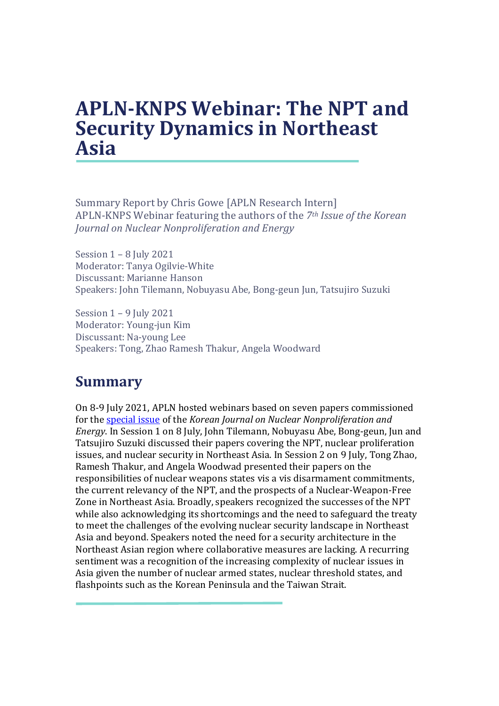## **APLN-KNPS Webinar: The NPT and Security Dynamics in Northeast Asia**

Summary Report by Chris Gowe [APLN Research Intern] APLN-KNPS Webinar featuring the authors of the *7th Issue of the Korean Journal on Nuclear Nonproliferation and Energy*

Session 1 – 8 July 2021 Moderator: Tanya Ogilvie-White Discussant: Marianne Hanson Speakers: John Tilemann, Nobuyasu Abe, Bong-geun Jun, Tatsujiro Suzuki

Session 1 – 9 July 2021 Moderator: Young-jun Kim Discussant: Na-young Lee Speakers: Tong, Zhao Ramesh Thakur, Angela Woodward

## **Summary**

On 8-9 July 2021, APLN hosted webinars based on seven papers commissioned for the [special issue](https://drive.google.com/file/d/1T_ZVSnkpLD2ypiaM6dq7uy_BGOJZK-BM/view) of the *Korean Journal on Nuclear Nonproliferation and Energy*. In Session 1 on 8 July, John Tilemann, Nobuyasu Abe, Bong-geun, Jun and Tatsujiro Suzuki discussed their papers covering the NPT, nuclear proliferation issues, and nuclear security in Northeast Asia. In Session 2 on 9 July, Tong Zhao, Ramesh Thakur, and Angela Woodwad presented their papers on the responsibilities of nuclear weapons states vis a vis disarmament commitments, the current relevancy of the NPT, and the prospects of a Nuclear-Weapon-Free Zone in Northeast Asia. Broadly, speakers recognized the successes of the NPT while also acknowledging its shortcomings and the need to safeguard the treaty to meet the challenges of the evolving nuclear security landscape in Northeast Asia and beyond. Speakers noted the need for a security architecture in the Northeast Asian region where collaborative measures are lacking. A recurring sentiment was a recognition of the increasing complexity of nuclear issues in Asia given the number of nuclear armed states, nuclear threshold states, and flashpoints such as the Korean Peninsula and the Taiwan Strait.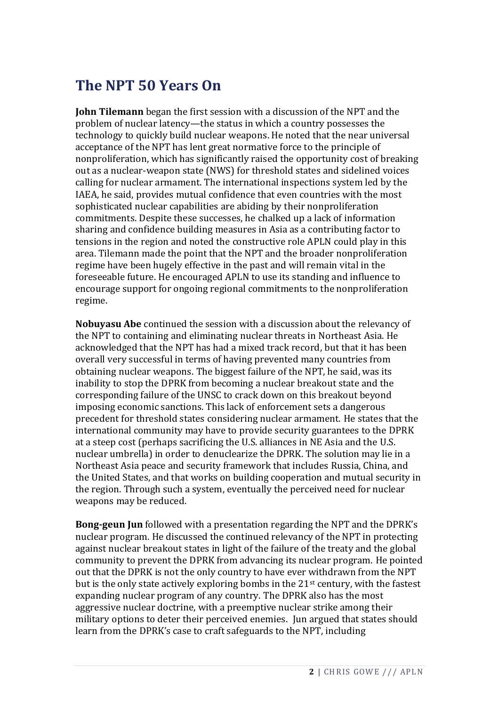## **The NPT 50 Years On**

**John Tilemann** began the first session with a discussion of the NPT and the problem of nuclear latency—the status in which a country possesses the technology to quickly build nuclear weapons. He noted that the near universal acceptance of the NPT has lent great normative force to the principle of nonproliferation, which has significantly raised the opportunity cost of breaking out as a nuclear-weapon state (NWS) for threshold states and sidelined voices calling for nuclear armament. The international inspections system led by the IAEA, he said, provides mutual confidence that even countries with the most sophisticated nuclear capabilities are abiding by their nonproliferation commitments. Despite these successes, he chalked up a lack of information sharing and confidence building measures in Asia as a contributing factor to tensions in the region and noted the constructive role APLN could play in this area. Tilemann made the point that the NPT and the broader nonproliferation regime have been hugely effective in the past and will remain vital in the foreseeable future. He encouraged APLN to use its standing and influence to encourage support for ongoing regional commitments to the nonproliferation regime.

**Nobuyasu Abe** continued the session with a discussion about the relevancy of the NPT to containing and eliminating nuclear threats in Northeast Asia. He acknowledged that the NPT has had a mixed track record, but that it has been overall very successful in terms of having prevented many countries from obtaining nuclear weapons. The biggest failure of the NPT, he said, was its inability to stop the DPRK from becoming a nuclear breakout state and the corresponding failure of the UNSC to crack down on this breakout beyond imposing economic sanctions. This lack of enforcement sets a dangerous precedent for threshold states considering nuclear armament. He states that the international community may have to provide security guarantees to the DPRK at a steep cost (perhaps sacrificing the U.S. alliances in NE Asia and the U.S. nuclear umbrella) in order to denuclearize the DPRK. The solution may lie in a Northeast Asia peace and security framework that includes Russia, China, and the United States, and that works on building cooperation and mutual security in the region. Through such a system, eventually the perceived need for nuclear weapons may be reduced.

**Bong-geun Jun** followed with a presentation regarding the NPT and the DPRK's nuclear program. He discussed the continued relevancy of the NPT in protecting against nuclear breakout states in light of the failure of the treaty and the global community to prevent the DPRK from advancing its nuclear program. He pointed out that the DPRK is not the only country to have ever withdrawn from the NPT but is the only state actively exploring bombs in the 21st century, with the fastest expanding nuclear program of any country. The DPRK also has the most aggressive nuclear doctrine, with a preemptive nuclear strike among their military options to deter their perceived enemies. Jun argued that states should learn from the DPRK's case to craft safeguards to the NPT, including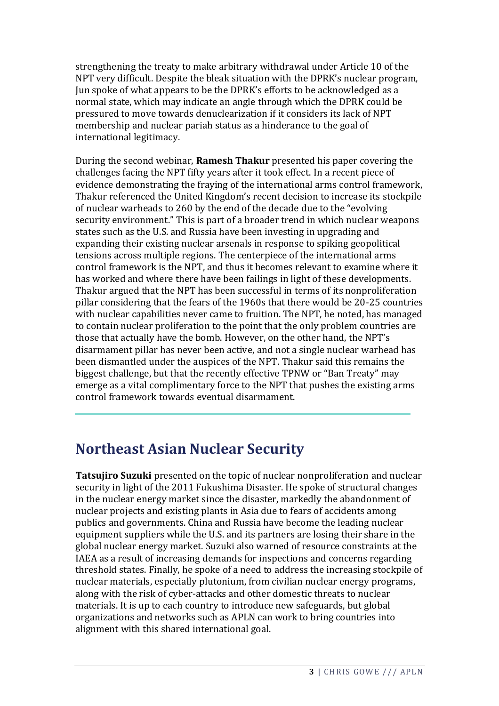strengthening the treaty to make arbitrary withdrawal under Article 10 of the NPT very difficult. Despite the bleak situation with the DPRK's nuclear program, Jun spoke of what appears to be the DPRK's efforts to be acknowledged as a normal state, which may indicate an angle through which the DPRK could be pressured to move towards denuclearization if it considers its lack of NPT membership and nuclear pariah status as a hinderance to the goal of international legitimacy.

During the second webinar, **Ramesh Thakur** presented his paper covering the challenges facing the NPT fifty years after it took effect. In a recent piece of evidence demonstrating the fraying of the international arms control framework, Thakur referenced the United Kingdom's recent decision to increase its stockpile of nuclear warheads to 260 by the end of the decade due to the "evolving security environment." This is part of a broader trend in which nuclear weapons states such as the U.S. and Russia have been investing in upgrading and expanding their existing nuclear arsenals in response to spiking geopolitical tensions across multiple regions. The centerpiece of the international arms control framework is the NPT, and thus it becomes relevant to examine where it has worked and where there have been failings in light of these developments. Thakur argued that the NPT has been successful in terms of its nonproliferation pillar considering that the fears of the 1960s that there would be 20-25 countries with nuclear capabilities never came to fruition. The NPT, he noted, has managed to contain nuclear proliferation to the point that the only problem countries are those that actually have the bomb. However, on the other hand, the NPT's disarmament pillar has never been active, and not a single nuclear warhead has been dismantled under the auspices of the NPT. Thakur said this remains the biggest challenge, but that the recently effective TPNW or "Ban Treaty" may emerge as a vital complimentary force to the NPT that pushes the existing arms control framework towards eventual disarmament.

## **Northeast Asian Nuclear Security**

**Tatsujiro Suzuki** presented on the topic of nuclear nonproliferation and nuclear security in light of the 2011 Fukushima Disaster. He spoke of structural changes in the nuclear energy market since the disaster, markedly the abandonment of nuclear projects and existing plants in Asia due to fears of accidents among publics and governments. China and Russia have become the leading nuclear equipment suppliers while the U.S. and its partners are losing their share in the global nuclear energy market. Suzuki also warned of resource constraints at the IAEA as a result of increasing demands for inspections and concerns regarding threshold states. Finally, he spoke of a need to address the increasing stockpile of nuclear materials, especially plutonium, from civilian nuclear energy programs, along with the risk of cyber-attacks and other domestic threats to nuclear materials. It is up to each country to introduce new safeguards, but global organizations and networks such as APLN can work to bring countries into alignment with this shared international goal.